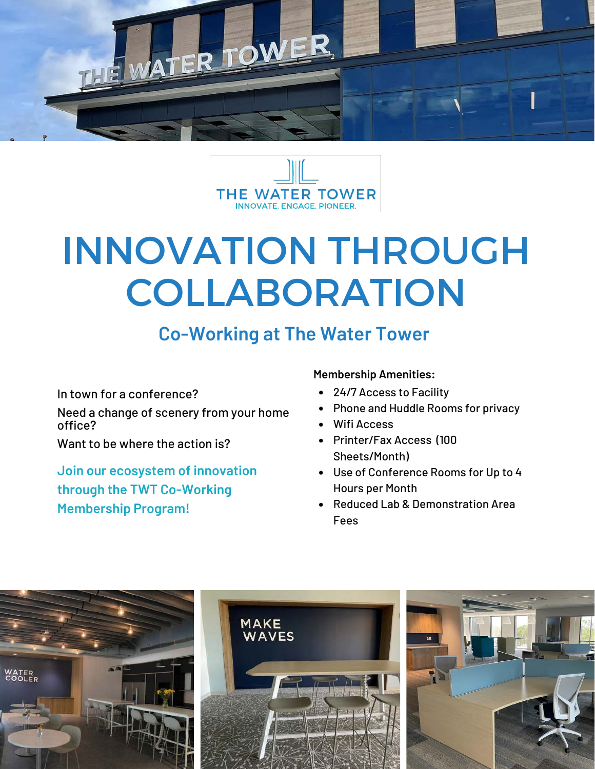



## INNOVATION THROUGH COLLABORATION

## **Co-Working at The Water Tower**

In town for a conference?

Need a change of scenery from your home office?

Want to be where the action is?

**Join our ecosystem of innovation through the TWT Co-Working Membership Program!** 

## **Membership Amenities:**

- 24/7 Access to Facility
- Phone and Huddle Rooms for privacy
- Wifi Access
- Printer/Fax Access (100 Sheets/Month)
- Use of Conference Rooms for Up to 4 Hours per Month
- Reduced Lab & Demonstration Area Fees